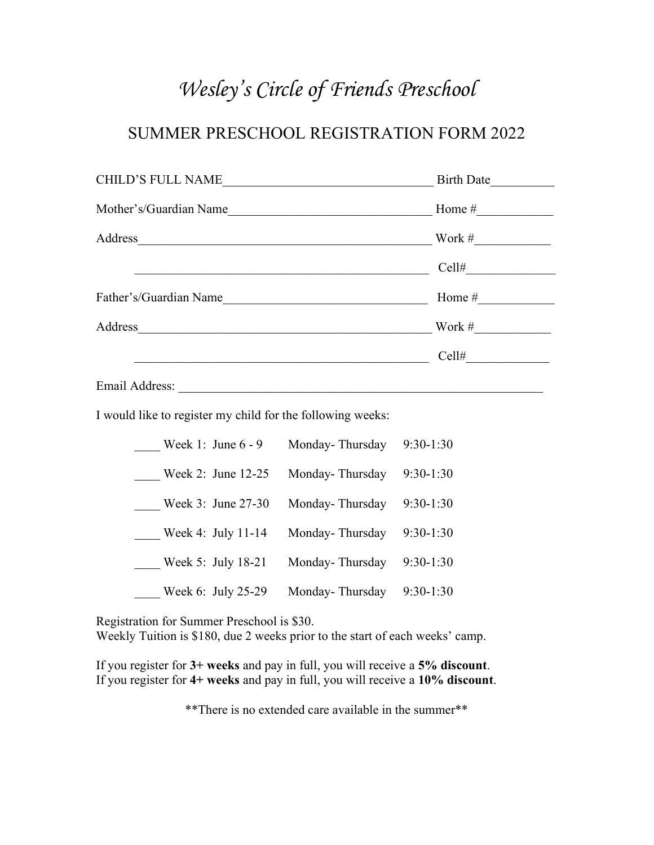## Wesley's Circle of Friends Preschool

## SUMMER PRESCHOOL REGISTRATION FORM 2022

| <b>CHILD'S FULL NAME</b> | <b>Birth Date</b> |
|--------------------------|-------------------|
| Mother's/Guardian Name   | Home #            |
| Address                  | Work #            |
|                          | Cell#             |
| Father's/Guardian Name   | Home #            |
| Address                  | Work #            |
|                          | Cell#             |
| Email Address:           |                   |

I would like to register my child for the following weeks:

| Week 1: June 6 - 9 | Monday-Thursday | $9:30-1:30$ |
|--------------------|-----------------|-------------|
| Week 2: June 12-25 | Monday-Thursday | $9:30-1:30$ |
| Week 3: June 27-30 | Monday-Thursday | $9:30-1:30$ |
| Week 4: July 11-14 | Monday-Thursday | $9:30-1:30$ |
| Week 5: July 18-21 | Monday-Thursday | $9:30-1:30$ |
| Week 6: July 25-29 | Monday-Thursday | $9:30-1:30$ |

Registration for Summer Preschool is \$30.

Weekly Tuition is \$180, due 2 weeks prior to the start of each weeks' camp.

If you register for 3+ weeks and pay in full, you will receive a 5% discount. If you register for 4+ weeks and pay in full, you will receive a 10% discount.

\*\*There is no extended care available in the summer\*\*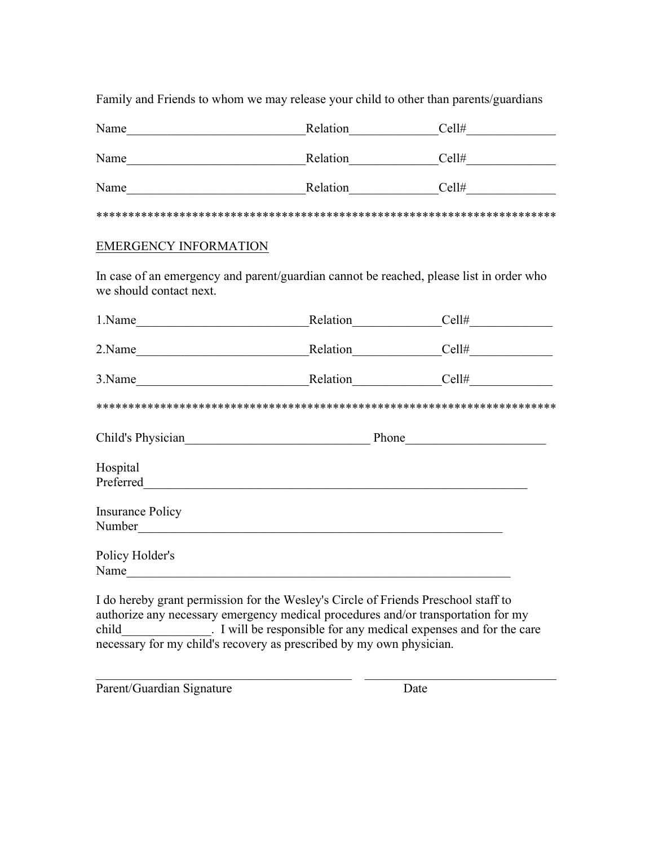Family and Friends to whom we may release your child to other than parents/guardians

| Name | Relation | Cell# |
|------|----------|-------|
| Name | Relation | Cell# |
| Name | Relation | Cell# |

\*\*\*\*\*\*\*\*\*\*\*\*\*\*\*\*\*\*\*\*\*\*\*\*\*\*\*\*\*\*\*\*\*\*\*\*\*\*\*\*\*\*\*\*\*\*\*\*\*\*\*\*\*\*\*\*\*\*\*\*\*\*\*\*\*\*\*\*\*\*\*\*

## EMERGENCY INFORMATION

In case of an emergency and parent/guardian cannot be reached, please list in order who we should contact next.

| 1.Name                                                 | Relation | Cell#                                                                                                                                                                                                                                |
|--------------------------------------------------------|----------|--------------------------------------------------------------------------------------------------------------------------------------------------------------------------------------------------------------------------------------|
| 2.Name                                                 | Relation | Cell#                                                                                                                                                                                                                                |
| 3.Name<br>the control of the control of the control of | Relation | Cell#                                                                                                                                                                                                                                |
|                                                        |          |                                                                                                                                                                                                                                      |
| Child's Physician Child's Physician                    |          | Phone <u>the contract of the set of the set of the set of the set of the set of the set of the set of the set of the set of the set of the set of the set of the set of the set of the set of the set of the set of the set of t</u> |
| Hospital<br>Preferred                                  |          |                                                                                                                                                                                                                                      |
| <b>Insurance Policy</b><br>Number                      |          |                                                                                                                                                                                                                                      |
| Policy Holder's<br>Name                                |          |                                                                                                                                                                                                                                      |

I do hereby grant permission for the Wesley's Circle of Friends Preschool staff to authorize any necessary emergency medical procedures and/or transportation for my child\_\_\_\_\_\_\_\_\_\_\_\_\_\_. I will be responsible for any medical expenses and for the care necessary for my child's recovery as prescribed by my own physician.

Parent/Guardian Signature Date